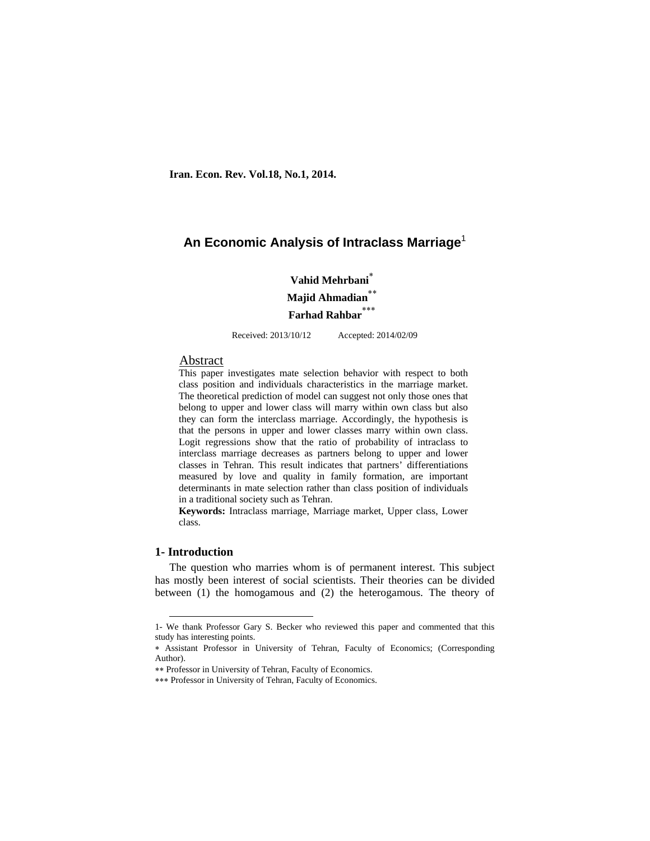# **An Economic Analysis of Intraclass Marriage**<sup>1</sup>

**Vahid Mehrbani Majid Ahmadian Farhad Rahbar**

Received: 2013/10/12 Accepted: 2014/02/09

### Abstract

This paper investigates mate selection behavior with respect to both class position and individuals characteristics in the marriage market. The theoretical prediction of model can suggest not only those ones that belong to upper and lower class will marry within own class but also they can form the interclass marriage. Accordingly, the hypothesis is that the persons in upper and lower classes marry within own class. Logit regressions show that the ratio of probability of intraclass to interclass marriage decreases as partners belong to upper and lower classes in Tehran. This result indicates that partners' differentiations measured by love and quality in family formation, are important determinants in mate selection rather than class position of individuals in a traditional society such as Tehran.

**Keywords:** Intraclass marriage, Marriage market, Upper class, Lower class.

# **1- Introduction**

The question who marries whom is of permanent interest. This subject has mostly been interest of social scientists. Their theories can be divided between (1) the homogamous and (2) the heterogamous. The theory of

 <sup>1-</sup> We thank Professor Gary S. Becker who reviewed this paper and commented that this study has interesting points.

Assistant Professor in University of Tehran, Faculty of Economics; (Corresponding Author).

Professor in University of Tehran, Faculty of Economics.

<sup>\*\*\*</sup> Professor in University of Tehran, Faculty of Economics.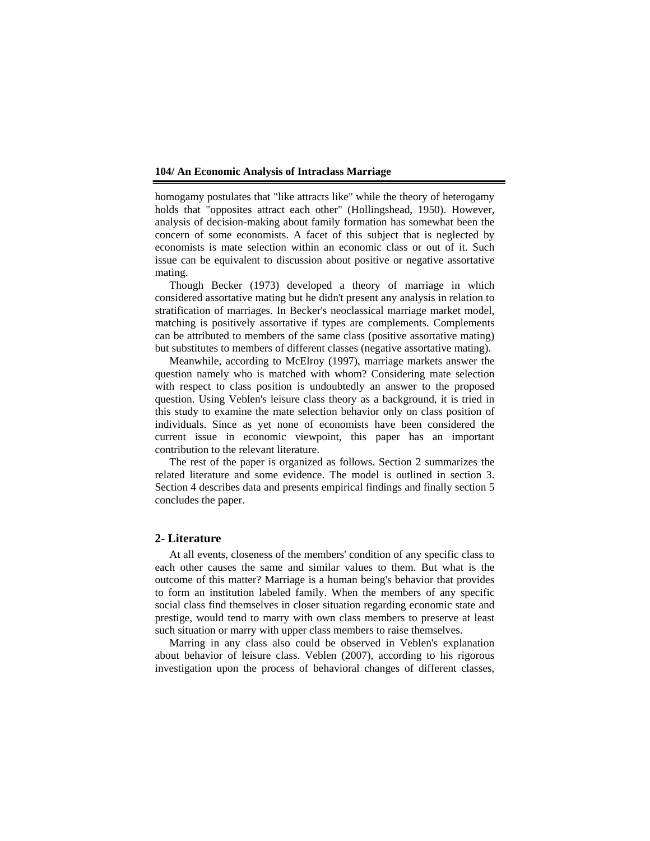homogamy postulates that "like attracts like" while the theory of heterogamy holds that "opposites attract each other" (Hollingshead, 1950). However, analysis of decision-making about family formation has somewhat been the concern of some economists. A facet of this subject that is neglected by economists is mate selection within an economic class or out of it. Such issue can be equivalent to discussion about positive or negative assortative mating.

Though Becker (1973) developed a theory of marriage in which considered assortative mating but he didn't present any analysis in relation to stratification of marriages. In Becker's neoclassical marriage market model, matching is positively assortative if types are complements. Complements can be attributed to members of the same class (positive assortative mating) but substitutes to members of different classes (negative assortative mating).

Meanwhile, according to McElroy (1997), marriage markets answer the question namely who is matched with whom? Considering mate selection with respect to class position is undoubtedly an answer to the proposed question. Using Veblen's leisure class theory as a background, it is tried in this study to examine the mate selection behavior only on class position of individuals. Since as yet none of economists have been considered the current issue in economic viewpoint, this paper has an important contribution to the relevant literature.

The rest of the paper is organized as follows. Section 2 summarizes the related literature and some evidence. The model is outlined in section 3. Section 4 describes data and presents empirical findings and finally section 5 concludes the paper.

## **2- Literature**

At all events, closeness of the members' condition of any specific class to each other causes the same and similar values to them. But what is the outcome of this matter? Marriage is a human being's behavior that provides to form an institution labeled family. When the members of any specific social class find themselves in closer situation regarding economic state and prestige, would tend to marry with own class members to preserve at least such situation or marry with upper class members to raise themselves.

Marring in any class also could be observed in Veblen's explanation about behavior of leisure class. Veblen (2007), according to his rigorous investigation upon the process of behavioral changes of different classes,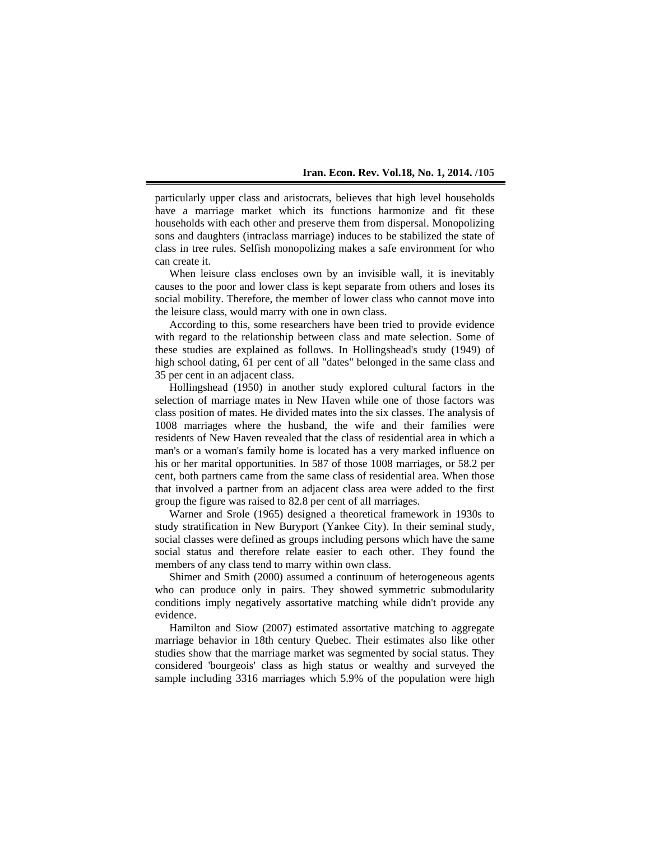particularly upper class and aristocrats, believes that high level households have a marriage market which its functions harmonize and fit these households with each other and preserve them from dispersal. Monopolizing sons and daughters (intraclass marriage) induces to be stabilized the state of class in tree rules. Selfish monopolizing makes a safe environment for who can create it.

When leisure class encloses own by an invisible wall, it is inevitably causes to the poor and lower class is kept separate from others and loses its social mobility. Therefore, the member of lower class who cannot move into the leisure class, would marry with one in own class.

According to this, some researchers have been tried to provide evidence with regard to the relationship between class and mate selection. Some of these studies are explained as follows. In Hollingshead's study (1949) of high school dating, 61 per cent of all "dates" belonged in the same class and 35 per cent in an adjacent class.

Hollingshead (1950) in another study explored cultural factors in the selection of marriage mates in New Haven while one of those factors was class position of mates. He divided mates into the six classes. The analysis of 1008 marriages where the husband, the wife and their families were residents of New Haven revealed that the class of residential area in which a man's or a woman's family home is located has a very marked influence on his or her marital opportunities. In 587 of those 1008 marriages, or 58.2 per cent, both partners came from the same class of residential area. When those that involved a partner from an adjacent class area were added to the first group the figure was raised to 82.8 per cent of all marriages.

Warner and Srole (1965) designed a theoretical framework in 1930s to study stratification in New Buryport (Yankee City). In their seminal study, social classes were defined as groups including persons which have the same social status and therefore relate easier to each other. They found the members of any class tend to marry within own class.

Shimer and Smith (2000) assumed a continuum of heterogeneous agents who can produce only in pairs. They showed symmetric submodularity conditions imply negatively assortative matching while didn't provide any evidence.

Hamilton and Siow (2007) estimated assortative matching to aggregate marriage behavior in 18th century Quebec. Their estimates also like other studies show that the marriage market was segmented by social status. They considered 'bourgeois' class as high status or wealthy and surveyed the sample including 3316 marriages which 5.9% of the population were high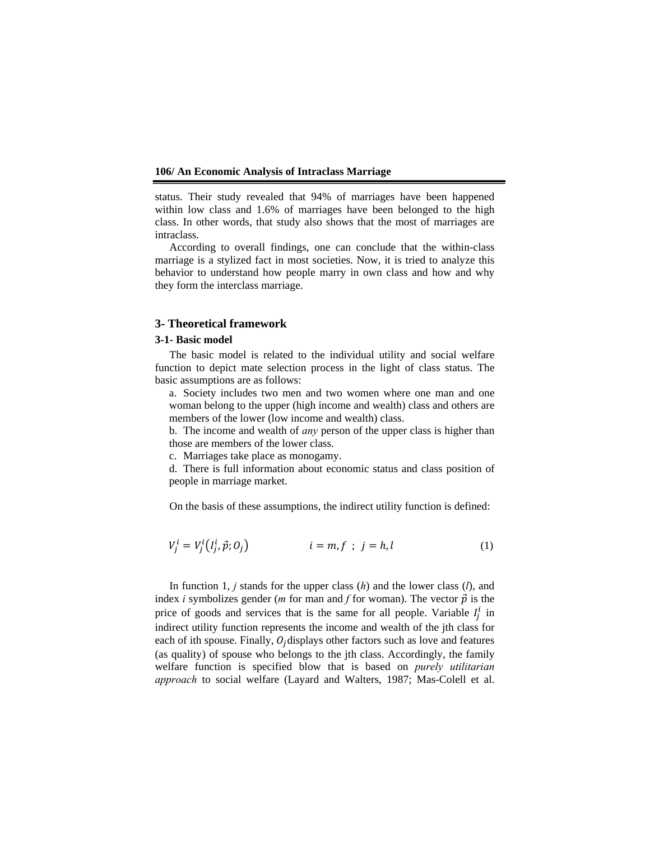status. Their study revealed that 94% of marriages have been happened within low class and 1.6% of marriages have been belonged to the high class. In other words, that study also shows that the most of marriages are intraclass.

According to overall findings, one can conclude that the within-class marriage is a stylized fact in most societies. Now, it is tried to analyze this behavior to understand how people marry in own class and how and why they form the interclass marriage.

## **3- Theoretical framework**

#### **3-1- Basic model**

The basic model is related to the individual utility and social welfare function to depict mate selection process in the light of class status. The basic assumptions are as follows:

a. Society includes two men and two women where one man and one woman belong to the upper (high income and wealth) class and others are members of the lower (low income and wealth) class.

b. The income and wealth of *any* person of the upper class is higher than those are members of the lower class.

c. Marriages take place as monogamy.

d. There is full information about economic status and class position of people in marriage market.

On the basis of these assumptions, the indirect utility function is defined:

$$
V_j^i = V_j^i(I_j^i, \vec{p}; O_j) \qquad i = m, f \; ; \; j = h, l \tag{1}
$$

In function 1, *j* stands for the upper class (*h*) and the lower class (*l*), and index *i* symbolizes gender (*m* for man and *f* for woman). The vector  $\vec{p}$  is the price of goods and services that is the same for all people. Variable  $I_j^i$  in indirect utility function represents the income and wealth of the jth class for each of ith spouse. Finally,  $O_i$  displays other factors such as love and features (as quality) of spouse who belongs to the jth class. Accordingly, the family welfare function is specified blow that is based on *purely utilitarian approach* to social welfare (Layard and Walters, 1987; Mas-Colell et al.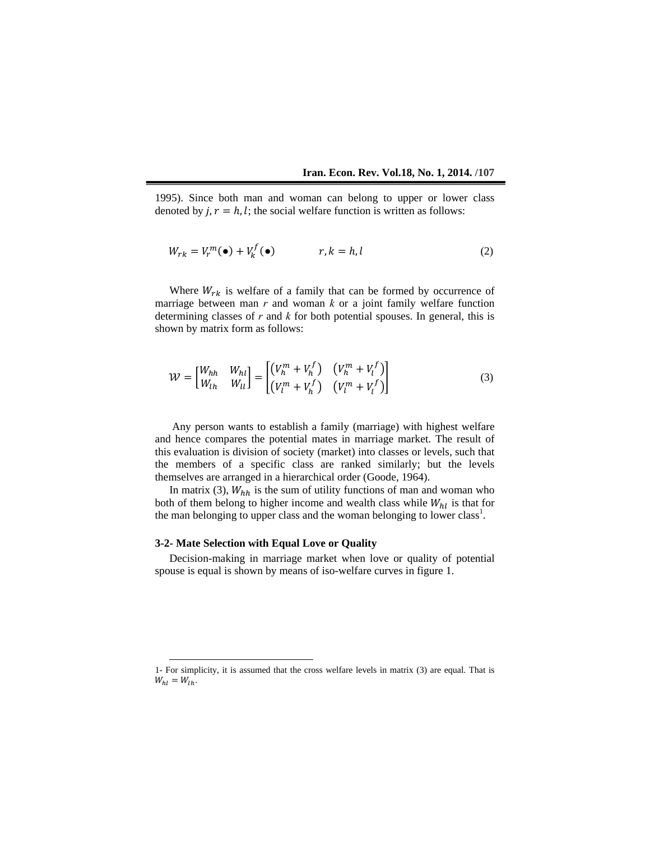1995). Since both man and woman can belong to upper or lower class denoted by  $j, r = h, l$ ; the social welfare function is written as follows:

$$
W_{rk} = V_r^m(\bullet) + V_k^f(\bullet) \qquad \qquad r, k = h, l \tag{2}
$$

Where  $W_{rk}$  is welfare of a family that can be formed by occurrence of marriage between man *r* and woman *k* or a joint family welfare function determining classes of *r* and *k* for both potential spouses. In general, this is shown by matrix form as follows:

$$
\mathcal{W} = \begin{bmatrix} W_{hh} & W_{hl} \\ W_{lh} & W_{ll} \end{bmatrix} = \begin{bmatrix} \left(V_h^m + V_h^f\right) & \left(V_h^m + V_l^f\right) \\ \left(V_l^m + V_h^f\right) & \left(V_l^m + V_l^f\right) \end{bmatrix} \tag{3}
$$

 Any person wants to establish a family (marriage) with highest welfare and hence compares the potential mates in marriage market. The result of this evaluation is division of society (market) into classes or levels, such that the members of a specific class are ranked similarly; but the levels themselves are arranged in a hierarchical order (Goode, 1964).

In matrix (3),  $W_{hh}$  is the sum of utility functions of man and woman who both of them belong to higher income and wealth class while  $W_{hl}$  is that for the man belonging to upper class and the woman belonging to lower class<sup>1</sup>.

## **3-2- Mate Selection with Equal Love or Quality**

Decision-making in marriage market when love or quality of potential spouse is equal is shown by means of iso-welfare curves in figure 1.

 <sup>1-</sup> For simplicity, it is assumed that the cross welfare levels in matrix (3) are equal. That is  $W_{hl} = W_{lh}$ .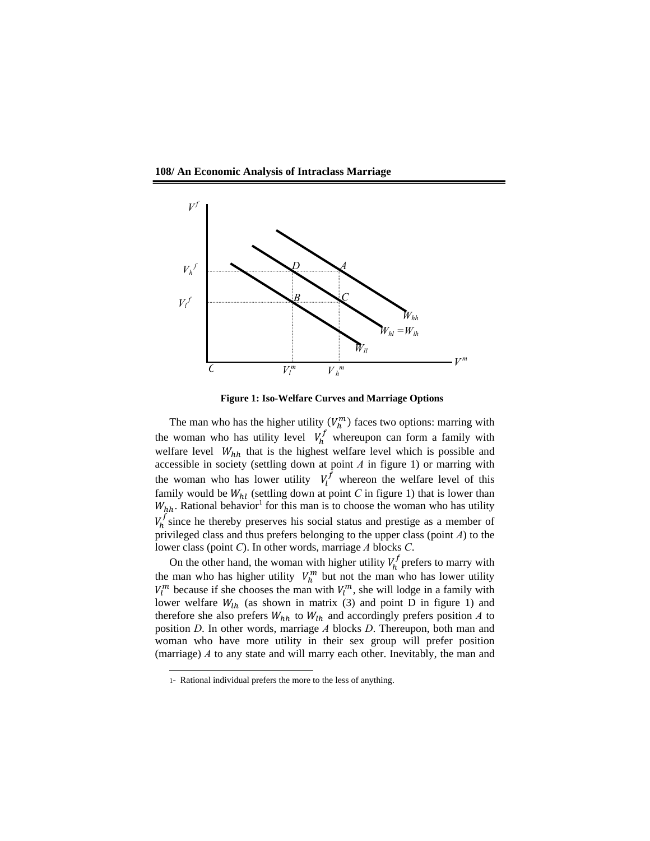**108/ An Economic Analysis of Intraclass Marriage** 





The man who has the higher utility  $(V_h^m)$  faces two options: marring with the woman who has utility level  $V_h^f$  whereupon can form a family with welfare level  $W_{hh}$  that is the highest welfare level which is possible and accessible in society (settling down at point *A* in figure 1) or marring with the woman who has lower utility  $V_l^f$  whereon the welfare level of this family would be  $W_{hl}$  (settling down at point *C* in figure 1) that is lower than  $W_{hh}$ . Rational behavior<sup>1</sup> for this man is to choose the woman who has utility  $V_h^f$  since he thereby preserves his social status and prestige as a member of privileged class and thus prefers belonging to the upper class (point *A*) to the lower class (point *C*). In other words, marriage *A* blocks *C*.

On the other hand, the woman with higher utility  $V_h^f$  prefers to marry with the man who has higher utility  $V_h^m$  but not the man who has lower utility  $V_l^m$  because if she chooses the man with  $V_l^m$ , she will lodge in a family with lower welfare  $W_{lh}$  (as shown in matrix (3) and point D in figure 1) and therefore she also prefers  $W_{hh}$  to  $W_{lh}$  and accordingly prefers position *A* to position *D*. In other words, marriage *A* blocks *D*. Thereupon, both man and woman who have more utility in their sex group will prefer position (marriage) *A* to any state and will marry each other. Inevitably, the man and

l

<sup>1-</sup> Rational individual prefers the more to the less of anything.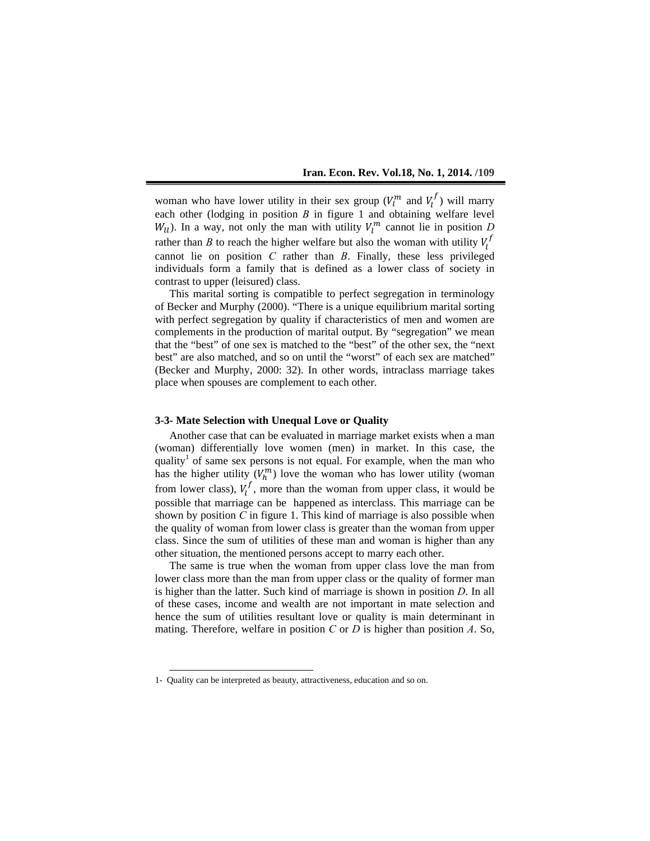woman who have lower utility in their sex group  $(V_l^m$  and  $V_l^f)$  will marry each other (lodging in position *B* in figure 1 and obtaining welfare level  $W_{ll}$ ). In a way, not only the man with utility  $V_l^m$  cannot lie in position *D* rather than *B* to reach the higher welfare but also the woman with utility  $V_l^f$ cannot lie on position *C* rather than *B*. Finally, these less privileged individuals form a family that is defined as a lower class of society in contrast to upper (leisured) class.

This marital sorting is compatible to perfect segregation in terminology of Becker and Murphy (2000). "There is a unique equilibrium marital sorting with perfect segregation by quality if characteristics of men and women are complements in the production of marital output. By "segregation" we mean that the "best" of one sex is matched to the "best" of the other sex, the "next best" are also matched, and so on until the "worst" of each sex are matched" (Becker and Murphy, 2000: 32). In other words, intraclass marriage takes place when spouses are complement to each other.

### **3-3- Mate Selection with Unequal Love or Quality**

Another case that can be evaluated in marriage market exists when a man (woman) differentially love women (men) in market. In this case, the quality<sup>1</sup> of same sex persons is not equal. For example, when the man who has the higher utility  $(V_h^m)$  love the woman who has lower utility (woman from lower class),  $V_l^f$ , more than the woman from upper class, it would be possible that marriage can be happened as interclass. This marriage can be shown by position *C* in figure 1. This kind of marriage is also possible when the quality of woman from lower class is greater than the woman from upper class. Since the sum of utilities of these man and woman is higher than any other situation, the mentioned persons accept to marry each other.

The same is true when the woman from upper class love the man from lower class more than the man from upper class or the quality of former man is higher than the latter. Such kind of marriage is shown in position *D*. In all of these cases, income and wealth are not important in mate selection and hence the sum of utilities resultant love or quality is main determinant in mating. Therefore, welfare in position *C* or *D* is higher than position *A*. So,

 <sup>1-</sup> Quality can be interpreted as beauty, attractiveness, education and so on.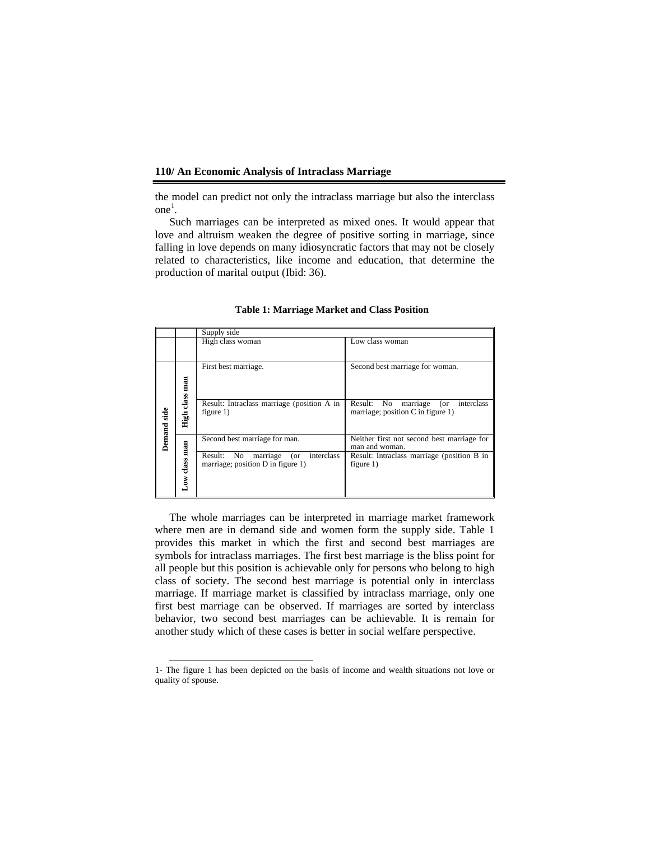the model can predict not only the intraclass marriage but also the interclass  $one<sup>1</sup>$ .

Such marriages can be interpreted as mixed ones. It would appear that love and altruism weaken the degree of positive sorting in marriage, since falling in love depends on many idiosyncratic factors that may not be closely related to characteristics, like income and education, that determine the production of marital output (Ibid: 36).

|             |                       | Supply side                                                                      |                                                                                      |  |  |  |
|-------------|-----------------------|----------------------------------------------------------------------------------|--------------------------------------------------------------------------------------|--|--|--|
|             |                       | High class woman                                                                 | Low class woman                                                                      |  |  |  |
| Demand side | man<br>class:<br>High | First best marriage.                                                             | Second best marriage for woman.                                                      |  |  |  |
|             |                       | Result: Intraclass marriage (position A in<br>figure $1$ )                       | No.<br>marriage<br>interclass<br>Result:<br>(or<br>marriage; position C in figure 1) |  |  |  |
|             | man                   | Second best marriage for man.                                                    | Neither first not second best marriage for<br>man and woman.                         |  |  |  |
|             | Low class             | Result: No<br>interclass<br>marriage<br>(or<br>marriage; position D in figure 1) | Result: Intraclass marriage (position B in<br>figure $1$ )                           |  |  |  |

**Table 1: Marriage Market and Class Position** 

The whole marriages can be interpreted in marriage market framework where men are in demand side and women form the supply side. Table 1 provides this market in which the first and second best marriages are symbols for intraclass marriages. The first best marriage is the bliss point for all people but this position is achievable only for persons who belong to high class of society. The second best marriage is potential only in interclass marriage. If marriage market is classified by intraclass marriage, only one first best marriage can be observed. If marriages are sorted by interclass behavior, two second best marriages can be achievable. It is remain for another study which of these cases is better in social welfare perspective.

 <sup>1-</sup> The figure 1 has been depicted on the basis of income and wealth situations not love or quality of spouse.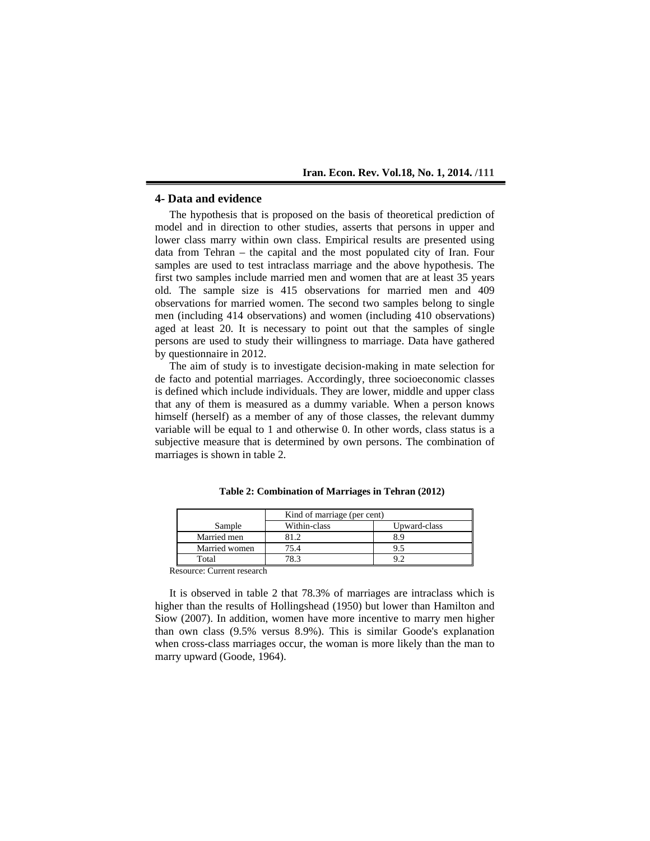# **4- Data and evidence**

The hypothesis that is proposed on the basis of theoretical prediction of model and in direction to other studies, asserts that persons in upper and lower class marry within own class. Empirical results are presented using data from Tehran – the capital and the most populated city of Iran. Four samples are used to test intraclass marriage and the above hypothesis. The first two samples include married men and women that are at least 35 years old. The sample size is 415 observations for married men and 409 observations for married women. The second two samples belong to single men (including 414 observations) and women (including 410 observations) aged at least 20. It is necessary to point out that the samples of single persons are used to study their willingness to marriage. Data have gathered by questionnaire in 2012.

The aim of study is to investigate decision-making in mate selection for de facto and potential marriages. Accordingly, three socioeconomic classes is defined which include individuals. They are lower, middle and upper class that any of them is measured as a dummy variable. When a person knows himself (herself) as a member of any of those classes, the relevant dummy variable will be equal to 1 and otherwise 0. In other words, class status is a subjective measure that is determined by own persons. The combination of marriages is shown in table 2.

|               | Kind of marriage (per cent) |              |  |  |  |
|---------------|-----------------------------|--------------|--|--|--|
| Sample        | Within-class                | Upward-class |  |  |  |
| Married men   |                             | 8.9          |  |  |  |
| Married women | 75.4                        |              |  |  |  |
| Total         | 78.3                        |              |  |  |  |

**Table 2: Combination of Marriages in Tehran (2012)** 

Resource: Current research

It is observed in table 2 that 78.3% of marriages are intraclass which is higher than the results of Hollingshead (1950) but lower than Hamilton and Siow (2007). In addition, women have more incentive to marry men higher than own class (9.5% versus 8.9%). This is similar Goode's explanation when cross-class marriages occur, the woman is more likely than the man to marry upward (Goode, 1964).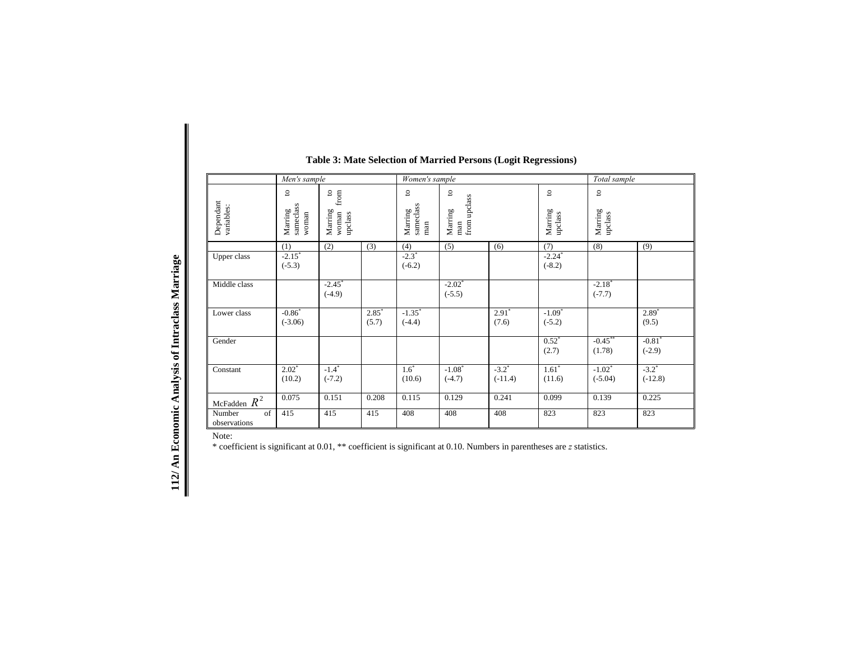|                                                 |                                                                                                                                | Men's sample                                                                                                   |                                 |                                                                                               | Women's sample                   |                                  |                                      |                                    | Total sample                      |                                  |
|-------------------------------------------------|--------------------------------------------------------------------------------------------------------------------------------|----------------------------------------------------------------------------------------------------------------|---------------------------------|-----------------------------------------------------------------------------------------------|----------------------------------|----------------------------------|--------------------------------------|------------------------------------|-----------------------------------|----------------------------------|
|                                                 | Dependant<br>variables:                                                                                                        | $\frac{1}{2}$ from<br>$\mathtt{\underline{o}}$<br>sameclass<br>Marring<br>Marring<br>upclass<br>woman<br>woman |                                 | $\mathbf{c}$<br>$\mathtt{S}$<br>from upclass<br>Marring<br>sameclass<br>Marring<br>man<br>man |                                  |                                  | $\overline{c}$<br>Marring<br>upclass | $\mathbf{S}$<br>Marring<br>upclass |                                   |                                  |
|                                                 |                                                                                                                                | (1)                                                                                                            | (2)                             | (3)                                                                                           | (4)                              | (5)                              | (6)                                  | (7)                                | (8)                               | (9)                              |
|                                                 | Upper class                                                                                                                    | $-2.15$ <sup>*</sup><br>$(-5.3)$                                                                               |                                 |                                                                                               | $-2.3$ <sup>*</sup><br>$(-6.2)$  |                                  |                                      | $-2.24$ <sup>*</sup><br>$(-8.2)$   |                                   |                                  |
|                                                 | Middle class                                                                                                                   |                                                                                                                | $-2.45$<br>$(-4.9)$             |                                                                                               |                                  | $-2.02$ <sup>*</sup><br>$(-5.5)$ |                                      |                                    | $-2.18$<br>$(-7.7)$               |                                  |
|                                                 | Lower class                                                                                                                    | $-0.86$ <sup>*</sup><br>$(-3.06)$                                                                              |                                 | $2.85$ <sup>*</sup><br>(5.7)                                                                  | $-1.35$ <sup>*</sup><br>$(-4.4)$ |                                  | 2.91<br>(7.6)                        | $-1.09$ <sup>*</sup><br>$(-5.2)$   |                                   | $2.89*$<br>(9.5)                 |
|                                                 | Gender                                                                                                                         |                                                                                                                |                                 |                                                                                               |                                  |                                  |                                      | $0.52*$<br>(2.7)                   | $-0.45***$<br>(1.78)              | $-0.81$ <sup>*</sup><br>$(-2.9)$ |
|                                                 | Constant                                                                                                                       | $2.02^*$<br>(10.2)                                                                                             | $-1.4$ <sup>*</sup><br>$(-7.2)$ |                                                                                               | $1.6*$<br>(10.6)                 | $-1.08$ <sup>*</sup><br>$(-4.7)$ | $-3.2$ <sup>*</sup><br>$(-11.4)$     | $1.61*$<br>(11.6)                  | $-1.02$ <sup>*</sup><br>$(-5.04)$ | $-3.2$ <sup>*</sup><br>$(-12.8)$ |
|                                                 | McFadden $R^2$                                                                                                                 | 0.075                                                                                                          | 0.151                           | 0.208                                                                                         | 0.115                            | 0.129                            | 0.241                                | 0.099                              | 0.139                             | 0.225                            |
|                                                 | Number<br>of<br>observations                                                                                                   | 415                                                                                                            | 415                             | 415                                                                                           | 408                              | 408                              | 408                                  | 823                                | 823                               | 823                              |
| 112/An Economic Analysis of Intraclass Marriage | Note:<br>* coefficient is significant at 0.01, ** coefficient is significant at 0.10. Numbers in parentheses are z statistics. |                                                                                                                |                                 |                                                                                               |                                  |                                  |                                      |                                    |                                   |                                  |

# **Table 3: Mate Selection of Married Persons (Logit Regressions)**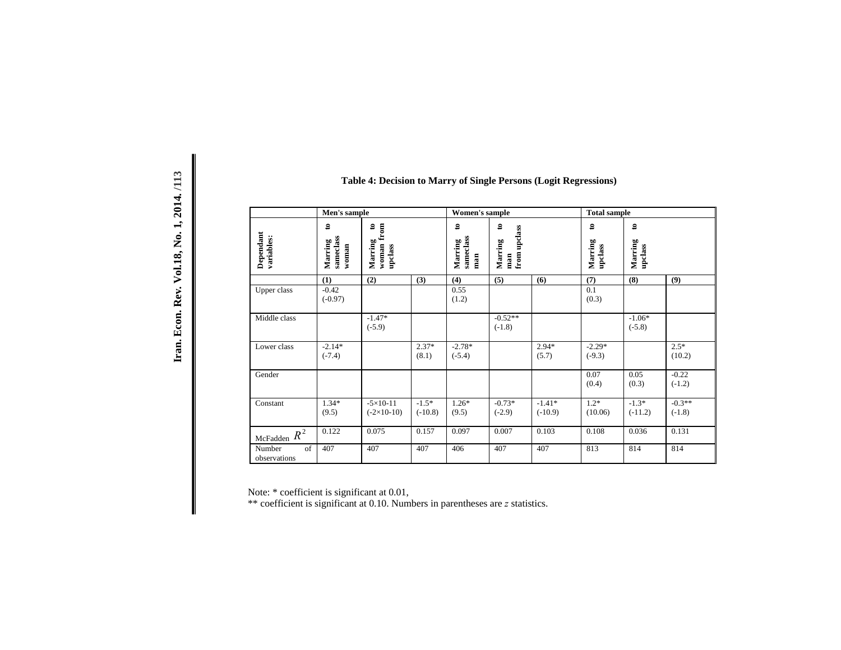| Men's sample                 |                                               |                                                    | Women's sample       |                                             |                                                | <b>Total sample</b>   |                                   |                                   |                      |
|------------------------------|-----------------------------------------------|----------------------------------------------------|----------------------|---------------------------------------------|------------------------------------------------|-----------------------|-----------------------------------|-----------------------------------|----------------------|
| Dependant<br>variables:      | $\mathbf{e}$<br>sameclass<br>Marring<br>woman | $\mathbf{e}$<br>from<br>Marring<br>woman<br>updass |                      | $\mathtt{s}$<br>sameclass<br>Marring<br>man | $\mathbf{e}$<br>from upclass<br>Marring<br>man |                       | $\mathbf{e}$<br>Marring<br>updass | $\mathbf{e}$<br>Marring<br>updass |                      |
|                              | (1)                                           | (2)                                                | (3)                  | (4)                                         | (5)                                            | (6)                   | (7)                               | (8)                               | (9)                  |
| Upper class                  | $-0.42$<br>$(-0.97)$                          |                                                    |                      | 0.55<br>(1.2)                               |                                                |                       | 0.1<br>(0.3)                      |                                   |                      |
| Middle class                 |                                               | $-1.47*$<br>$(-5.9)$                               |                      |                                             | $-0.52**$<br>$(-1.8)$                          |                       |                                   | $-1.06*$<br>$(-5.8)$              |                      |
| Lower class                  | $-2.14*$<br>$(-7.4)$                          |                                                    | $2.37*$<br>(8.1)     | $-2.78*$<br>$(-5.4)$                        |                                                | $2.94*$<br>(5.7)      | $-2.29*$<br>$(-9.3)$              |                                   | $2.5*$<br>(10.2)     |
| Gender                       |                                               |                                                    |                      |                                             |                                                |                       | 0.07<br>(0.4)                     | 0.05<br>(0.3)                     | $-0.22$<br>$(-1.2)$  |
| Constant                     | $1.34*$<br>(9.5)                              | $-5 \times 10 - 11$<br>$(-2\times10-10)$           | $-1.5*$<br>$(-10.8)$ | $1.26*$<br>(9.5)                            | $-0.73*$<br>$(-2.9)$                           | $-1.41*$<br>$(-10.9)$ | $1.2*$<br>(10.06)                 | $-1.3*$<br>$(-11.2)$              | $-0.3**$<br>$(-1.8)$ |
| McFadden $R^2$               | 0.122                                         | 0.075                                              | 0.157                | 0.097                                       | 0.007                                          | 0.103                 | 0.108                             | 0.036                             | 0.131                |
| of<br>Number<br>observations | 407                                           | 407                                                | 407                  | 406                                         | 407                                            | 407                   | 813                               | 814                               | 814                  |

Note: \* coefficient is significant at 0.01,

\*\* coefficient is significant at 0.10. Numbers in parentheses are *z* statistics.

| r L         |
|-------------|
| 2014.       |
| Ĕ           |
| 0.18        |
| Rev.        |
| <b>HOOL</b> |
| lran.       |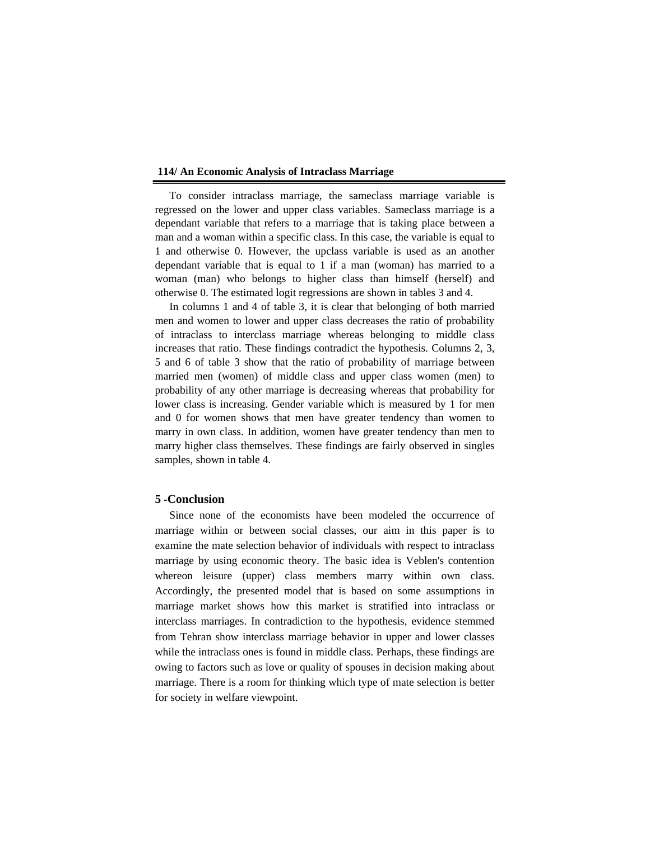To consider intraclass marriage, the sameclass marriage variable is regressed on the lower and upper class variables. Sameclass marriage is a dependant variable that refers to a marriage that is taking place between a man and a woman within a specific class. In this case, the variable is equal to 1 and otherwise 0. However, the upclass variable is used as an another dependant variable that is equal to 1 if a man (woman) has married to a woman (man) who belongs to higher class than himself (herself) and otherwise 0. The estimated logit regressions are shown in tables 3 and 4.

In columns 1 and 4 of table 3, it is clear that belonging of both married men and women to lower and upper class decreases the ratio of probability of intraclass to interclass marriage whereas belonging to middle class increases that ratio. These findings contradict the hypothesis. Columns 2, 3, 5 and 6 of table 3 show that the ratio of probability of marriage between married men (women) of middle class and upper class women (men) to probability of any other marriage is decreasing whereas that probability for lower class is increasing. Gender variable which is measured by 1 for men and 0 for women shows that men have greater tendency than women to marry in own class. In addition, women have greater tendency than men to marry higher class themselves. These findings are fairly observed in singles samples, shown in table 4.

# **5 -Conclusion**

Since none of the economists have been modeled the occurrence of marriage within or between social classes, our aim in this paper is to examine the mate selection behavior of individuals with respect to intraclass marriage by using economic theory. The basic idea is Veblen's contention whereon leisure (upper) class members marry within own class. Accordingly, the presented model that is based on some assumptions in marriage market shows how this market is stratified into intraclass or interclass marriages. In contradiction to the hypothesis, evidence stemmed from Tehran show interclass marriage behavior in upper and lower classes while the intraclass ones is found in middle class. Perhaps, these findings are owing to factors such as love or quality of spouses in decision making about marriage. There is a room for thinking which type of mate selection is better for society in welfare viewpoint.